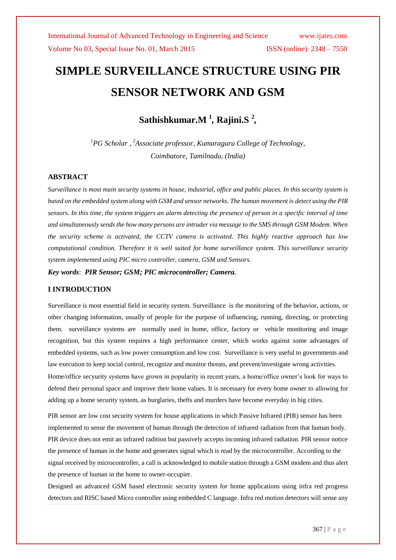# **SIMPLE SURVEILLANCE STRUCTURE USING PIR SENSOR NETWORK AND GSM**

**Sathishkumar.M <sup>1</sup>** *,* **Rajini.S <sup>2</sup>** *,*

*<sup>1</sup>PG Scholar , <sup>2</sup>Associate professor, Kumaraguru College of Technology, Coimbatore, Tamilnadu, (India)*

## **ABSTRACT**

*Surveillance is most main security systems in house, industrial, office and public places. In this security system is based on the embedded system along with GSM and sensor networks. The human movement is detect using the PIR sensors. In this time, the system triggers an alarm detecting the presence of person in a specific interval of time and simultaneously sends the how many persons are intruder via message to the SMS through GSM Modem. When the security scheme is activated, the CCTV camera is activated. This highly reactive approach has low computational condition. Therefore it is well suited for home surveillance system. This surveillance security system implemented using PIC micro controller, camera, GSM and Sensors.*

*Key words*: *PIR Sensor; GSM; PIC microcontroller; Camera.* 

## **I INTRODUCTION**

Surveillance is most essential field in security system. Surveillance is the monitoring of the [behavior,](http://en.wikipedia.org/wiki/Behavior) actions, or other changing information, usually of people for the purpose of influencing, running, directing, or protecting them. surveillance systems are normally used in home, office, factory or vehicle monitoring and image recognition, but this system requires a high performance center, which works against some advantages of embedded systems, such as low power consumption and low cost. Surveillance is very useful to governments and law execution to keep social control, recognize and monitor threats, and prevent/investigate wrong activities. Home/office secyurity systems have grown in popularity in recent years, a home/office owner's look for ways to defend their personal space and improve their home values. It is necessary for every home owner to allowing for adding up a home security system, as burglaries, thefts and murders have become everyday in big cities.

PIR sensor are low cost security system for house applications in which Passive Infrared (PIR) sensor has been implemented to sense the movement of human through the detection of infrared radiation from that human body. PIR device does not emit an infrared radition but passively accepts incoming infrared radiation. PIR sensor notice the presence of human in the home and generates signal which is read by the microcontroller. According to the signal received by microcontroller, a call is acknowledged to mobile station through a GSM modem and thus alert the presence of human in the home to owner-occupier.

Designed an advanced GSM based electronic security system for home applications using infra red progress detectors and RISC based Micro controller using embedded C language. Infra red motion detectors will sense any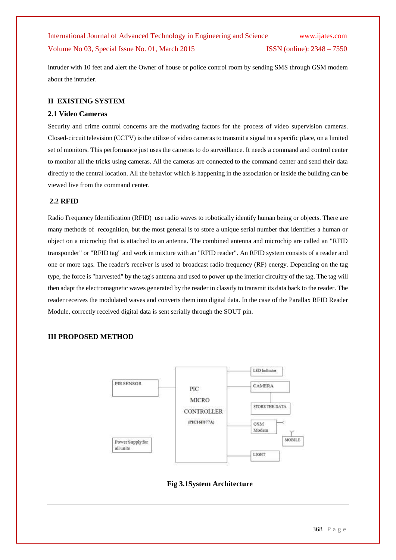intruder with 10 feet and alert the Owner of house or police control room by sending SMS through GSM modem about the intruder.

## **II EXISTING SYSTEM**

### **2.1 Video Cameras**

Security and crime control concerns are the motivating factors for the process of video supervision cameras. Closed-circuit television (CCTV) is the utilize of video cameras to transmit a signal to a specific place, on a limited set of monitors. This performance just uses the cameras to do surveillance. It needs a command and control center to monitor all the tricks using cameras. All the cameras are connected to the command center and send their data directly to the central location. All the behavior which is happening in the association or inside the building can be viewed live from the command center.

## **2.2 RFID**

Radio Frequency Identification (RFID) use radio waves to robotically identify human being or objects. There are many methods of recognition, but the most general is to store a unique serial number that identifies a human or object on a microchip that is attached to an antenna. The combined antenna and microchip are called an "RFID transponder" or "RFID tag" and work in mixture with an "RFID reader". An RFID system consists of a reader and one or more tags. The reader's receiver is used to broadcast radio frequency (RF) energy. Depending on the tag type, the force is "harvested" by the tag's antenna and used to power up the interior circuitry of the tag. The tag will then adapt the electromagnetic waves generated by the reader in classify to transmit its data back to the reader. The reader receives the modulated waves and converts them into digital data. In the case of the Parallax RFID Reader Module, correctly received digital data is sent serially through the SOUT pin.

## **III PROPOSED METHOD**



## **Fig 3.1System Architecture**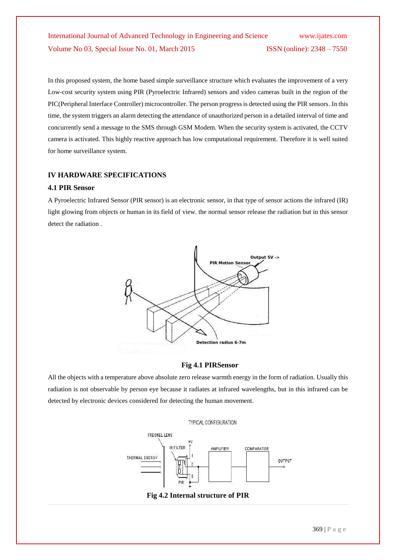In this proposed system, the home based simple surveillance structure which evaluates the improvement of a very Low-cost security system using PIR (Pyroelectric Infrared) sensors and video cameras built in the region of the PIC(Peripheral Interface Controller) microcontroller. The person progress is detected using the PIR sensors. In this time, the system triggers an alarm detecting the attendance of unauthorized person in a detailed interval of time and concurrently send a message to the SMS through GSM Modem. When the security system is activated, the CCTV camera is activated. This highly reactive approach has low computational requirement. Therefore it is well suited for home surveillance system.

## **IV HARDWARE SPECIFICATIONS**

### **4.1 PIR Sensor**

A Pyroelectric Infrared Sensor (PIR sensor) is an electronic sensor, in that type of sensor actions the infrared (IR) light glowing from objects or human in its field of view. the normal sensor release the radiation but in this sensor detect the radiation .



## **Fig 4.1 PIRSensor**

All the objects with a temperature above absolute zero release warmth energy in the form of radiation. Usually this radiation is not observable by person eye because it radiates at infrared wavelengths, but in this infrared can be detected by electronic devices considered for detecting the human movement.

#### TYPICAL CONFIGURATION

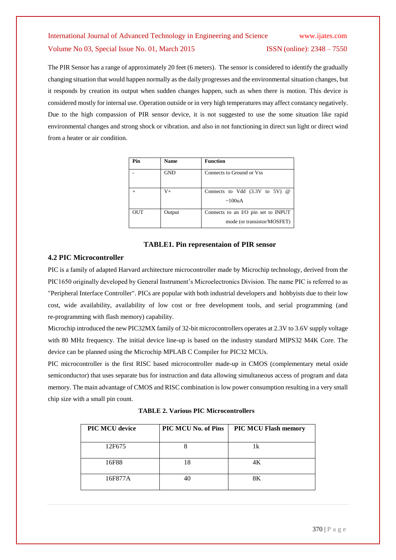The PIR Sensor has a range of approximately 20 feet (6 meters). The sensor is considered to identify the gradually changing situation that would happen normally as the daily progresses and the environmental situation changes, but it responds by creation its output when sudden changes happen, such as when there is motion. This device is considered mostly for internal use. Operation outside or in very high temperatures may affect constancy negatively. Due to the high compassion of PIR sensor device, it is not suggested to use the some situation like rapid environmental changes and strong shock or vibration. and also in not functioning in direct sun light or direct wind from a heater or air condition.

| Pin        | <b>Name</b> | <b>Function</b>                                                    |
|------------|-------------|--------------------------------------------------------------------|
|            | <b>GND</b>  | Connects to Ground or Vss                                          |
|            | $_{\rm V+}$ | Connects to Vdd $(3.3V)$ to 5V $\omega$<br>~100uA                  |
| <b>OUT</b> | Output      | Connects to an I/O pin set to INPUT<br>mode (or transistor/MOSFET) |

## **TABLE1. Pin representaion of PIR sensor**

## **4.2 PIC Microcontroller**

PIC is a family of adapted Harvard architecture microcontroller made by Microchip technology, derived from the PIC1650 originally developed by General Instrument's Microelectronics Division. The name PIC is referred to as "Peripheral Interface Controller". PICs are popular with both industrial developers and hobbyists due to their low cost, wide availability, availability of low cost or free development tools, and serial programming (and re-programming with flash memory) capability.

Microchip introduced the new PIC32MX family of 32-bit microcontrollers operates at 2.3V to 3.6V supply voltage with 80 MHz frequency. The initial device line-up is based on the industry standard MIPS32 M4K Core. The device can be planned using the Microchip MPLAB C Compiler for PIC32 MCUs.

PIC microcontroller is the first RISC based microcontroller made-up in CMOS (complementary metal oxide semiconductor) that uses separate bus for instruction and data allowing simultaneous access of program and data memory. The main advantage of CMOS and RISC combination is low power consumption resulting in a very small chip size with a small pin count.

 **TABLE 2. Various PIC Microcontrollers**

| <b>PIC MCU device</b> | PIC MCU No. of Pins | <b>PIC MCU Flash memory</b> |
|-----------------------|---------------------|-----------------------------|
| 12F675                |                     | 1k                          |
| 16F88                 | 18                  | 4K                          |
| 16F877A               |                     | 8Κ                          |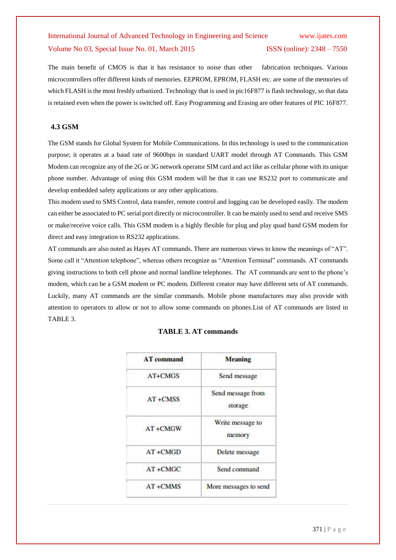The main benefit of CMOS is that it has resistance to noise than other fabrication techniques. Various microcontrollers offer different kinds of memories. EEPROM, EPROM, FLASH etc. are some of the memories of which FLASH is the most freshly urbanized. Technology that is used in pic16F877 is flash technology, so that data is retained even when the power is switched off. Easy Programming and Erasing are other features of PIC 16F877.

## **4.3 GSM**

The GSM stands for Global System for Mobile Communications. In this technology is used to the communication purpose; it operates at a baud rate of 9600bps in standard UART model through AT Commands. This GSM Modem can recognize any of the 2G or 3G network operator SIM card and act like as cellular phone with its unique phone number. Advantage of using this GSM modem will be that it can use RS232 port to communicate and develop embedded safety applications or any other applications.

This modem used to SMS Control, data transfer, remote control and logging can be developed easily. The modem can either be associated to PC serial port directly or microcontroller. It can be mainly used to send and receive SMS or make/receive voice calls. This GSM modem is a highly flexible for plug and play quad band GSM modem for direct and easy integration to RS232 applications.

AT commands are also noted as Hayes AT commands. There are numerous views to know the meanings of "AT". Some call it "Attention telephone", whereas others recognize as "Attention Terminal" commands. AT commands giving instructions to both cell phone and normal landline telephones. The AT commands are sent to the phone's modem, which can be a GSM modem or PC modem. Different creator may have different sets of AT commands. Luckily, many AT commands are the similar commands. Mobile phone manufactures may also provide with attention to operators to allow or not to allow some commands on phones.List of AT commands are listed in TABLE 3.

| <b>AT</b> command | <b>Meaning</b>               |  |
|-------------------|------------------------------|--|
| AT+CMGS           | Send message                 |  |
| $AT + CMSS$       | Send message from<br>storage |  |
| AT+CMGW           | Write message to<br>memory   |  |
| $AT + CMGD$       | Delete message               |  |
| $AT + CMGC$       | Send command                 |  |
| $AT+CMMS$         | More messages to send        |  |

## **TABLE 3. AT commands**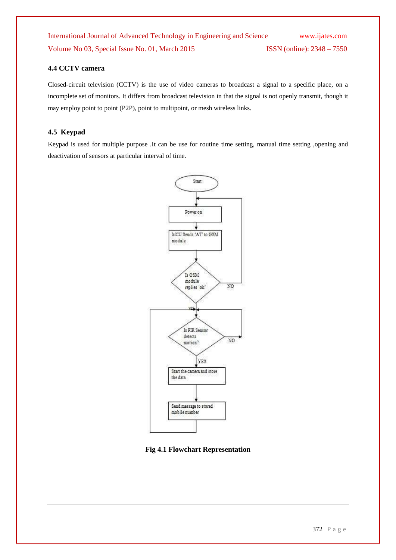## **4.4 CCTV camera**

Closed-circuit television (CCTV) is the use of video cameras to broadcast a signal to a specific place, on a incomplete set of monitors. It differs from broadcast television in that the signal is not openly transmit, though it may employ point to point (P2P), point to multipoint, or mesh wireless links.

## **4.5 Keypad**

Keypad is used for multiple purpose .It can be use for routine time setting, manual time setting ,opening and deactivation of sensors at particular interval of time.



**Fig 4.1 Flowchart Representation**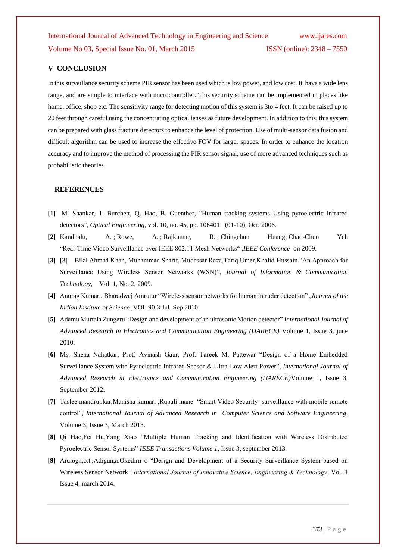## **V CONCLUSION**

In this surveillance security scheme PIR sensor has been used which is low power, and low cost. It have a wide lens range, and are simple to interface with microcontroller. This security scheme can be implemented in places like home, office, shop etc. The sensitivity range for detecting motion of this system is 3to 4 feet. It can be raised up to 20 feet through careful using the concentrating optical lenses as future development. In addition to this, this system can be prepared with glass fracture detectors to enhance the level of protection. Use of multi-sensor data fusion and difficult algorithm can be used to increase the effective FOV for larger spaces. In order to enhance the location accuracy and to improve the method of processing the PIR sensor signal, use of more advanced techniques such as probabilistic theories.

## **REFERENCES**

- **[1]** M. Shankar, 1. Burchett, Q. Hao, B. Guenther, "Human tracking systems Using pyroelectric infrared detectors*", Optical Engineering*, vol. 10, no. 45, pp. 106401 (01-10), Oct. 2006.
- **[2]** Kandhalu, A. ; Rowe, A. ; Rajkumar, R. ; Chingchun Huang; Chao-Chun Yeh "Real-Time Video Surveillance over IEEE 802.11 Mesh Networks" ,*IEEE Conference* on 2009.
- **[3]** [3] Bilal Ahmad Khan, Muhammad Sharif, Mudassar Raza,Tariq Umer,Khalid Hussain "An Approach for Surveillance Using Wireless Sensor Networks (WSN)", *Journal of Information & Communication Technology*, Vol. 1, No. 2, 2009.
- **[4]** Anurag Kumar,, Bharadwaj Amrutur "Wireless sensor networks for human intruder detection" ,*Journal of the Indian Institute of Science* ,VOL 90:3 Jul–Sep 2010.
- **[5]** Adamu Murtala Zungeru "Design and development of an ultrasonic Motion detector" *International Journal of Advanced Research in Electronics and Communication Engineering (IJARECE)* Volume 1, Issue 3, june 2010.
- **[6]** Ms. Sneha Nahatkar, Prof. Avinash Gaur, Prof. Tareek M. Pattewar "Design of a Home Embedded Surveillance System with Pyroelectric Infrared Sensor & Ultra-Low Alert Power", *International Journal of Advanced Research in Electronics and Communication Engineering (IJARECE)*Volume 1, Issue 3, September 2012.
- **[7]** Taslee mandrupkar,Manisha kumari ,Rupali mane "Smart Video Security surveillance with mobile remote control", *International Journal of Advanced Research in Computer Science and Software Engineering*, Volume 3, Issue 3, March 2013.
- **[8]** Qi Hao,Fei Hu,Yang Xiao "Multiple Human Tracking and Identification with Wireless Distributed Pyroelectric Sensor Systems" *IEEE Transactions Volume 1*, Issue 3, september 2013.
- **[9]** Arulogn,o.t.,Adigun,a.Okedirn o "Design and Development of a Security Surveillance System based on Wireless Sensor Network*" International Journal of Innovative Science, Engineering & Technology*, Vol. 1 Issue 4, march 2014.